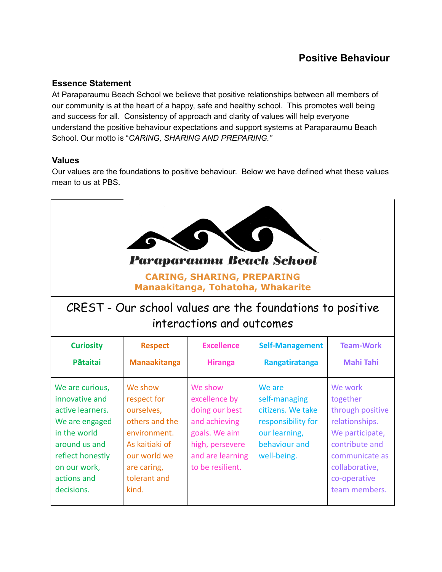# **Positive Behaviour**

#### **Essence Statement**

At Paraparaumu Beach School we believe that positive relationships between all members of our community is at the heart of a happy, safe and healthy school. This promotes well being and success for all. Consistency of approach and clarity of values will help everyone understand the positive behaviour expectations and support systems at Paraparaumu Beach School. Our motto is "*CARING, SHARING AND PREPARING."*

#### **Values**

Our values are the foundations to positive behaviour. Below we have defined what these values mean to us at PBS.

| <b>Paraparaumu Beach School</b><br><b>CARING, SHARING, PREPARING</b><br>Manaakitanga, Tohatoha, Whakarite                                                                 |                                                                                                                                                  |                                                                                                                                         |                                                                                                                     |                                                                                                                                                                     |
|---------------------------------------------------------------------------------------------------------------------------------------------------------------------------|--------------------------------------------------------------------------------------------------------------------------------------------------|-----------------------------------------------------------------------------------------------------------------------------------------|---------------------------------------------------------------------------------------------------------------------|---------------------------------------------------------------------------------------------------------------------------------------------------------------------|
| CREST - Our school values are the foundations to positive<br>interactions and outcomes                                                                                    |                                                                                                                                                  |                                                                                                                                         |                                                                                                                     |                                                                                                                                                                     |
| <b>Curiosity</b><br><b>Pātaitai</b>                                                                                                                                       | <b>Respect</b><br><b>Manaakitanga</b>                                                                                                            | <b>Excellence</b><br><b>Hiranga</b>                                                                                                     | <b>Self-Management</b><br><b>Rangatiratanga</b>                                                                     | <b>Team-Work</b><br><b>Mahi Tahi</b>                                                                                                                                |
| We are curious,<br>innovative and<br>active learners.<br>We are engaged<br>in the world<br>around us and<br>reflect honestly<br>on our work,<br>actions and<br>decisions. | We show<br>respect for<br>ourselves,<br>others and the<br>environment.<br>As kaitiaki of<br>our world we<br>are caring,<br>tolerant and<br>kind. | We show<br>excellence by<br>doing our best<br>and achieving<br>goals. We aim<br>high, persevere<br>and are learning<br>to be resilient. | We are<br>self-managing<br>citizens. We take<br>responsibility for<br>our learning,<br>behaviour and<br>well-being. | We work<br>together<br>through positive<br>relationships.<br>We participate,<br>contribute and<br>communicate as<br>collaborative,<br>co-operative<br>team members. |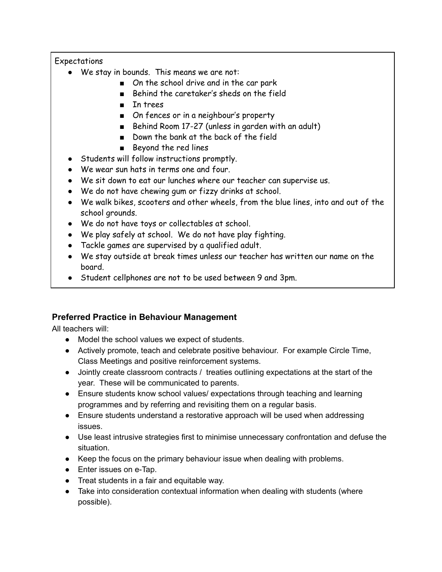#### Expectations

- We stay in bounds. This means we are not:
	- On the school drive and in the car park
	- Behind the caretaker's sheds on the field
	- In trees
	- On fences or in a neighbour's property
	- Behind Room 17-27 (unless in garden with an adult)
	- Down the bank at the back of the field
	- Beyond the red lines
- Students will follow instructions promptly.
- We wear sun hats in terms one and four.
- We sit down to eat our lunches where our teacher can supervise us.
- We do not have chewing gum or fizzy drinks at school.
- We walk bikes, scooters and other wheels, from the blue lines, into and out of the school grounds.
- We do not have toys or collectables at school.
- We play safely at school. We do not have play fighting.
- Tackle games are supervised by a qualified adult.
- We stay outside at break times unless our teacher has written our name on the board.
- Student cellphones are not to be used between 9 and 3pm.

# **Preferred Practice in Behaviour Management**

All teachers will:

- Model the school values we expect of students.
- Actively promote, teach and celebrate positive behaviour. For example Circle Time, Class Meetings and positive reinforcement systems.
- Jointly create classroom contracts / treaties outlining expectations at the start of the year. These will be communicated to parents.
- Ensure students know school values/ expectations through teaching and learning programmes and by referring and revisiting them on a regular basis.
- Ensure students understand a restorative approach will be used when addressing issues.
- Use least intrusive strategies first to minimise unnecessary confrontation and defuse the situation.
- Keep the focus on the primary behaviour issue when dealing with problems.
- Enter issues on e-Tap.
- Treat students in a fair and equitable way.
- Take into consideration contextual information when dealing with students (where possible).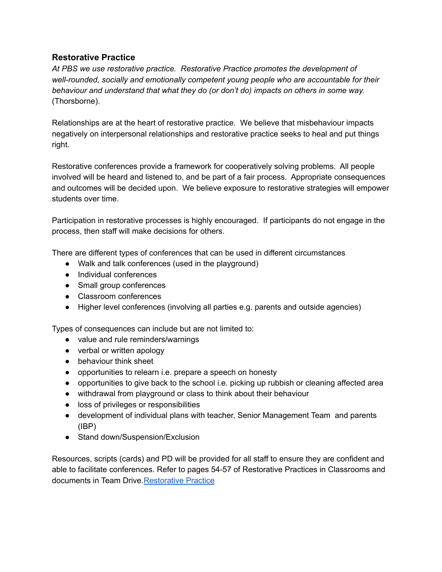#### **Restorative Practice**

*At PBS we use restorative practice. Restorative Practice promotes the development of well-rounded, socially and emotionally competent young people who are accountable for their behaviour and understand that what they do (or don't do) impacts on others in some way.* (Thorsborne).

Relationships are at the heart of restorative practice. We believe that misbehaviour impacts negatively on interpersonal relationships and restorative practice seeks to heal and put things right.

Restorative conferences provide a framework for cooperatively solving problems. All people involved will be heard and listened to, and be part of a fair process. Appropriate consequences and outcomes will be decided upon. We believe exposure to restorative strategies will empower students over time.

Participation in restorative processes is highly encouraged. If participants do not engage in the process, then staff will make decisions for others.

There are different types of conferences that can be used in different circumstances

- Walk and talk conferences (used in the playground)
- Individual conferences
- Small group conferences
- Classroom conferences
- Higher level conferences (involving all parties e.g. parents and outside agencies)

Types of consequences can include but are not limited to:

- value and rule reminders/warnings
- verbal or written apology
- behaviour think sheet
- opportunities to relearn i.e. prepare a speech on honesty
- opportunities to give back to the school i.e. picking up rubbish or cleaning affected area
- withdrawal from playground or class to think about their behaviour
- loss of privileges or responsibilities
- development of individual plans with teacher, Senior Management Team and parents (IBP)
- Stand down/Suspension/Exclusion

Resources, scripts (cards) and PD will be provided for all staff to ensure they are confident and able to facilitate conferences. Refer to pages 54-57 of Restorative Practices in Classrooms and documents in Team Drive. [Restorative](https://goo.gl/q8fxGy) Practice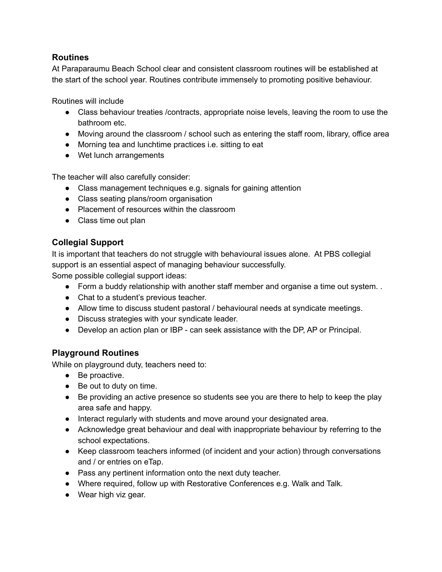### **Routines**

At Paraparaumu Beach School clear and consistent classroom routines will be established at the start of the school year. Routines contribute immensely to promoting positive behaviour.

Routines will include

- Class behaviour treaties /contracts, appropriate noise levels, leaving the room to use the bathroom etc.
- Moving around the classroom / school such as entering the staff room, library, office area
- Morning tea and lunchtime practices i.e. sitting to eat
- Wet lunch arrangements

The teacher will also carefully consider:

- Class management techniques e.g. signals for gaining attention
- Class seating plans/room organisation
- Placement of resources within the classroom
- Class time out plan

# **Collegial Support**

It is important that teachers do not struggle with behavioural issues alone. At PBS collegial support is an essential aspect of managing behaviour successfully. Some possible collegial support ideas:

- Form a buddy relationship with another staff member and organise a time out system. .
- Chat to a student's previous teacher.
- Allow time to discuss student pastoral / behavioural needs at syndicate meetings.
- Discuss strategies with your syndicate leader.
- Develop an action plan or IBP can seek assistance with the DP, AP or Principal.

### **Playground Routines**

While on playground duty, teachers need to:

- Be proactive.
- Be out to duty on time.
- Be providing an active presence so students see you are there to help to keep the play area safe and happy.
- Interact regularly with students and move around your designated area.
- Acknowledge great behaviour and deal with inappropriate behaviour by referring to the school expectations.
- Keep classroom teachers informed (of incident and your action) through conversations and / or entries on eTap.
- Pass any pertinent information onto the next duty teacher.
- Where required, follow up with Restorative Conferences e.g. Walk and Talk.
- Wear high viz gear.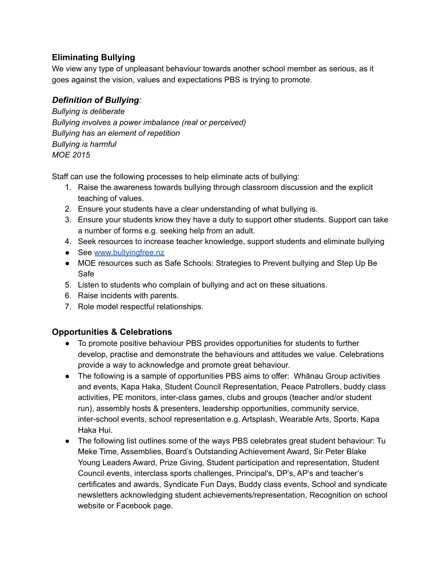### **Eliminating Bullying**

We view any type of unpleasant behaviour towards another school member as serious, as it goes against the vision, values and expectations PBS is trying to promote.

# *Definition of Bullying:*

*Bullying is deliberate Bullying involves a power imbalance (real or perceived) Bullying has an element of repetition Bullying is harmful MOE 2015*

Staff can use the following processes to help eliminate acts of bullying:

- 1. Raise the awareness towards bullying through classroom discussion and the explicit teaching of values.
- 2. Ensure your students have a clear understanding of what bullying is.
- 3. Ensure your students know they have a duty to support other students. Support can take a number of forms e.g. seeking help from an adult.
- 4. Seek resources to increase teacher knowledge, support students and eliminate bullying
- See [www.bullyingfree.nz](http://www.bullyingfree.nz)
- MOE resources such as Safe Schools: Strategies to Prevent bullying and Step Up Be Safe
- 5. Listen to students who complain of bullying and act on these situations.
- 6. Raise incidents with parents.
- 7. Role model respectful relationships.

# **Opportunities & Celebrations**

- To promote positive behaviour PBS provides opportunities for students to further develop, practise and demonstrate the behaviours and attitudes we value. Celebrations provide a way to acknowledge and promote great behaviour.
- The following is a sample of opportunities PBS aims to offer: Whānau Group activities and events, Kapa Haka, Student Council Representation, Peace Patrollers, buddy class activities, PE monitors, inter-class games, clubs and groups (teacher and/or student run), assembly hosts & presenters, leadership opportunities, community service, inter-school events, school representation e.g. Artsplash, Wearable Arts, Sports, Kapa Haka Hui.
- The following list outlines some of the ways PBS celebrates great student behaviour: Tu Meke Time, Assemblies, Board's Outstanding Achievement Award, Sir Peter Blake Young Leaders Award, Prize Giving, Student participation and representation, Student Council events, interclass sports challenges, Principal's, DP's, AP's and teacher's certificates and awards, Syndicate Fun Days, Buddy class events, School and syndicate newsletters acknowledging student achievements/representation, Recognition on school website or Facebook page.